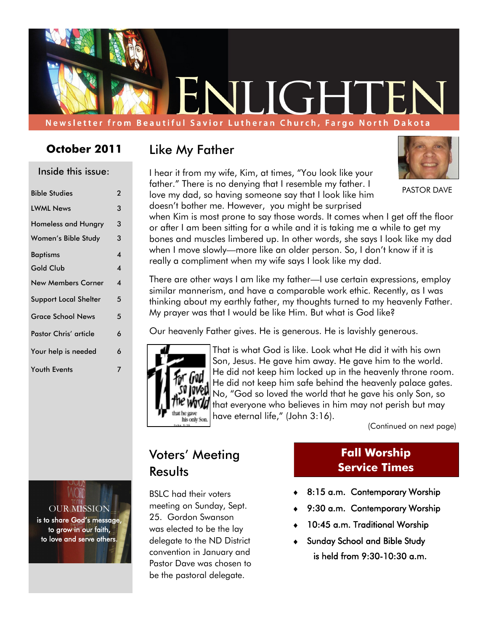

#### **October 2011**

Inside this issue:

| סטנגו נוווז אוונווווווווווווו |                         |
|-------------------------------|-------------------------|
| <b>Bible Studies</b>          | 2                       |
| <b>LWML News</b>              | 3                       |
| <b>Homeless and Hungry</b>    | 3                       |
| Women's Bible Study           | 3                       |
| <b>Baptisms</b>               | $\boldsymbol{4}$        |
| <b>Gold Club</b>              | $\overline{\mathbf{4}}$ |
| <b>New Members Corner</b>     | 4                       |
| <b>Support Local Shelter</b>  | 5                       |
| <b>Grace School News</b>      | 5                       |
| <b>Pastor Chris' article</b>  | 6                       |
| Your help is needed           | 6                       |
| <b>Youth Events</b>           | 7                       |
|                               |                         |

OUR MISSION is to share God's message, to grow in our faith, to love and serve others.

#### Like My Father

I hear it from my wife, Kim, at times, "You look like your father." There is no denying that I resemble my father. I love my dad, so having someone say that I look like him doesn't bother me. However, you might be surprised



PASTOR DAVE

when Kim is most prone to say those words. It comes when I get off the floor or after I am been sitting for a while and it is taking me a while to get my bones and muscles limbered up. In other words, she says I look like my dad when I move slowly—more like an older person. So, I don't know if it is really a compliment when my wife says I look like my dad.

There are other ways I am like my father—I use certain expressions, employ similar mannerism, and have a comparable work ethic. Recently, as I was thinking about my earthly father, my thoughts turned to my heavenly Father. My prayer was that I would be like Him. But what is God like?

Our heavenly Father gives. He is generous. He is lavishly generous.



That is what God is like. Look what He did it with his own Son, Jesus. He gave him away. He gave him to the world. He did not keep him locked up in the heavenly throne room. He did not keep him safe behind the heavenly palace gates. No, "God so loved the world that he gave his only Son, so that everyone who believes in him may not perish but may have eternal life," (John 3:16).

(Continued on next page)

#### Voters' Meeting **Results**

BSLC had their voters meeting on Sunday, Sept. 25. Gordon Swanson was elected to be the lay delegate to the ND District convention in January and Pastor Dave was chosen to be the pastoral delegate.

#### **Fall Worship Service Times**

- 8:15 a.m. Contemporary Worship
- 9:30 a.m. Contemporary Worship
- 10:45 a.m. Traditional Worship
- Sunday School and Bible Study is held from 9:30-10:30 a.m.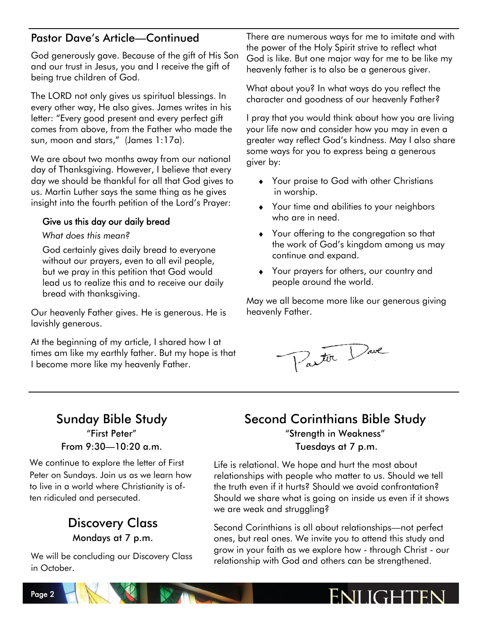#### Pastor Dave's Article—Continued

God generously gave. Because of the gift of His Son and our trust in Jesus, you and I receive the gift of being true children of God.

The LORD not only gives us spiritual blessings. In every other way, He also gives. James writes in his letter: "Every good present and every perfect gift comes from above, from the Father who made the sun, moon and stars," (James 1:17a).

We are about two months away from our national day of Thanksgiving. However, I believe that every day we should be thankful for all that God gives to us. Martin Luther says the same thing as he gives insight into the fourth petition of the Lord's Prayer:

#### Give us this day our daily bread

#### *What does this mean?*

God certainly gives daily bread to everyone without our prayers, even to all evil people, but we pray in this petition that God would lead us to realize this and to receive our daily bread with thanksgiving.

Our heavenly Father gives. He is generous. He is lavishly generous.

At the beginning of my article, I shared how I at times am like my earthly father. But my hope is that I become more like my heavenly Father.

There are numerous ways for me to imitate and with the power of the Holy Spirit strive to reflect what God is like. But one major way for me to be like my heavenly father is to also be a generous giver.

What about you? In what ways do you reflect the character and goodness of our heavenly Father?

I pray that you would think about how you are living your life now and consider how you may in even a greater way reflect God's kindness. May I also share some ways for you to express being a generous giver by:

- Your praise to God with other Christians in worship.
- Your time and abilities to your neighbors who are in need.
- Your offering to the congregation so that the work of God's kingdom among us may continue and expand.
- Your prayers for others, our country and people around the world.

May we all become more like our generous giving heavenly Father.



## Sunday Bible Study

"First Peter" From 9:30—10:20 a.m.

We continue to explore the letter of First Peter on Sundays. Join us as we learn how to live in a world where Christianity is often ridiculed and persecuted.

#### Discovery Class Mondays at 7 p.m.

We will be concluding our Discovery Class in October.

# Second Corinthians Bible Study

"Strength in Weakness" Tuesdays at 7 p.m.

Life is relational. We hope and hurt the most about relationships with people who matter to us. Should we tell the truth even if it hurts? Should we avoid confrontation? Should we share what is going on inside us even if it shows we are weak and struggling?

Second Corinthians is all about relationships—not perfect ones, but real ones. We invite you to attend this study and grow in your faith as we explore how - through Christ - our relationship with God and others can be strengthened.

# ENII IGHTEN

Page 2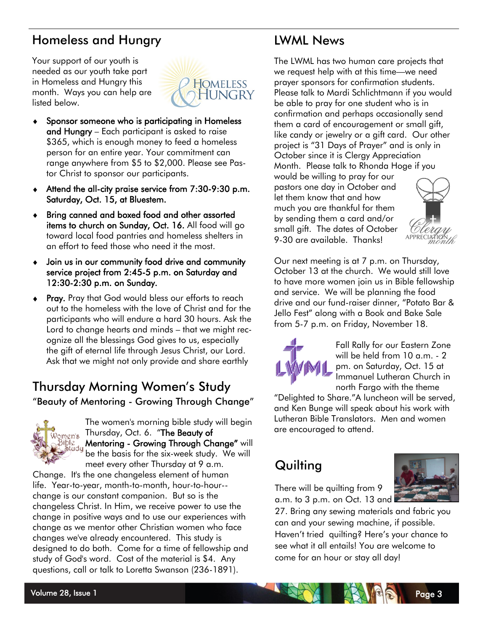### Homeless and Hungry

Your support of our youth is needed as our youth take part in Homeless and Hungry this month. Ways you can help are listed below.



- Sponsor someone who is participating in Homeless and Hungry – Each participant is asked to raise \$365, which is enough money to feed a homeless person for an entire year. Your commitment can range anywhere from \$5 to \$2,000. Please see Pastor Christ to sponsor our participants.
- Attend the all-city praise service from 7:30-9:30 p.m. Saturday, Oct. 15, at Bluestem.
- Bring canned and boxed food and other assorted items to church on Sunday, Oct. 16. All food will go toward local food pantries and homeless shelters in an effort to feed those who need it the most.
- Join us in our community food drive and community service project from 2:45-5 p.m. on Saturday and 12:30-2:30 p.m. on Sunday.
- ◆ Pray. Pray that God would bless our efforts to reach out to the homeless with the love of Christ and for the participants who will endure a hard 30 hours. Ask the Lord to change hearts and minds – that we might recognize all the blessings God gives to us, especially the gift of eternal life through Jesus Christ, our Lord. Ask that we might not only provide and share earthly

### Thursday Morning Women's Study "Beauty of Mentoring - Growing Through Change"



The women's morning bible study will begin မှာ<br><sub>Women's</sub> Thursday, Oct. 6. *"*The Beauty of Bible<br>Study Mentoring - Growing Through Change" will be the basis for the six-week study. We will meet every other Thursday at 9 a.m.

Change. It's the one changeless element of human life. Year-to-year, month-to-month, hour-to-hour- change is our constant companion. But so is the changeless Christ. In Him, we receive power to use the change in positive ways and to use our experiences with change as we mentor other Christian women who face changes we've already encountered. This study is designed to do both. Come for a time of fellowship and study of God's word. Cost of the material is \$4. Any questions, call or talk to Loretta Swanson (236-1891).

### LWML News

The LWML has two human care projects that we request help with at this time—we need prayer sponsors for confirmation students. Please talk to Mardi Schlichtmann if you would be able to pray for one student who is in confirmation and perhaps occasionally send them a card of encouragement or small gift, like candy or jewelry or a gift card. Our other project is "31 Days of Prayer" and is only in October since it is Clergy Appreciation Month. Please talk to Rhonda Hoge if you

would be willing to pray for our pastors one day in October and let them know that and how much you are thankful for them by sending them a card and/or small gift. The dates of October 9-30 are available. Thanks!



Our next meeting is at 7 p.m. on Thursday, October 13 at the church. We would still love to have more women join us in Bible fellowship and service. We will be planning the food drive and our fund-raiser dinner, "Potato Bar & Jello Fest" along with a Book and Bake Sale from 5-7 p.m. on Friday, November 18.



Fall Rally for our Eastern Zone will be held from 10 a.m. - 2 pm. on Saturday, Oct. 15 at Immanuel Lutheran Church in north Fargo with the theme

"Delighted to Share."A luncheon will be served, and Ken Bunge will speak about his work with Lutheran Bible Translators. Men and women are encouraged to attend.

### **Quilting**

There will be quilting from 9 a.m. to 3 p.m. on Oct. 13 and

27. Bring any sewing materials and fabric you can and your sewing machine, if possible. Haven't tried quilting? Here's your chance to see what it all entails! You are welcome to come for an hour or stay all day!

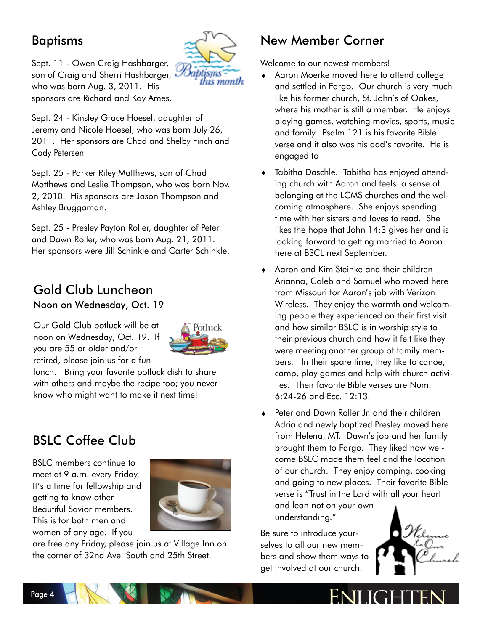#### Baptisms



Sept. 11 - Owen Craig Hashbarger, son of Craig and Sherri Hashbarger, who was born Aug. 3, 2011. His sponsors are Richard and Kay Ames.

Sept. 24 - Kinsley Grace Hoesel, daughter of Jeremy and Nicole Hoesel, who was born July 26, 2011. Her sponsors are Chad and Shelby Finch and Cody Petersen

Sept. 25 - Parker Riley Matthews, son of Chad Matthews and Leslie Thompson, who was born Nov. 2, 2010. His sponsors are Jason Thompson and Ashley Bruggaman.

Sept. 25 - Presley Payton Roller, daughter of Peter and Dawn Roller, who was born Aug. 21, 2011. Her sponsors were Jill Schinkle and Carter Schinkle.

### Gold Club Luncheon

Noon on Wednesday, Oct. 19

Our Gold Club potluck will be at noon on Wednesday, Oct. 19. If you are 55 or older and/or retired, please join us for a fun



lunch. Bring your favorite potluck dish to share with others and maybe the recipe too; you never know who might want to make it next time!

### BSLC Coffee Club

BSLC members continue to meet at 9 a.m. every Friday. It's a time for fellowship and getting to know other Beautiful Savior members. This is for both men and women of any age. If you



are free any Friday, please join us at Village Inn on the corner of 32nd Ave. South and 25th Street.

### New Member Corner

Welcome to our newest members!

- Aaron Moerke moved here to attend college and settled in Fargo. Our church is very much like his former church, St. John's of Oakes, where his mother is still a member. He enjoys playing games, watching movies, sports, music and family. Psalm 121 is his favorite Bible verse and it also was his dad's favorite. He is engaged to
- Tabitha Daschle. Tabitha has enjoyed attending church with Aaron and feels a sense of belonging at the LCMS churches and the welcoming atmosphere. She enjoys spending time with her sisters and loves to read. She likes the hope that John 14:3 gives her and is looking forward to getting married to Aaron here at BSCL next September.
- Aaron and Kim Steinke and their children Arianna, Caleb and Samuel who moved here from Missouri for Aaron's job with Verizon Wireless. They enjoy the warmth and welcoming people they experienced on their first visit and how similar BSLC is in worship style to their previous church and how it felt like they were meeting another group of family members. In their spare time, they like to canoe, camp, play games and help with church activities. Their favorite Bible verses are Num. 6:24-26 and Ecc. 12:13.
- Peter and Dawn Roller Jr. and their children Adria and newly baptized Presley moved here from Helena, MT. Dawn's job and her family brought them to Fargo. They liked how welcome BSLC made them feel and the location of our church. They enjoy camping, cooking and going to new places. Their favorite Bible verse is "Trust in the Lord with all your heart and lean not on your own understanding."

Be sure to introduce yourselves to all our new members and show them ways to get involved at our church.



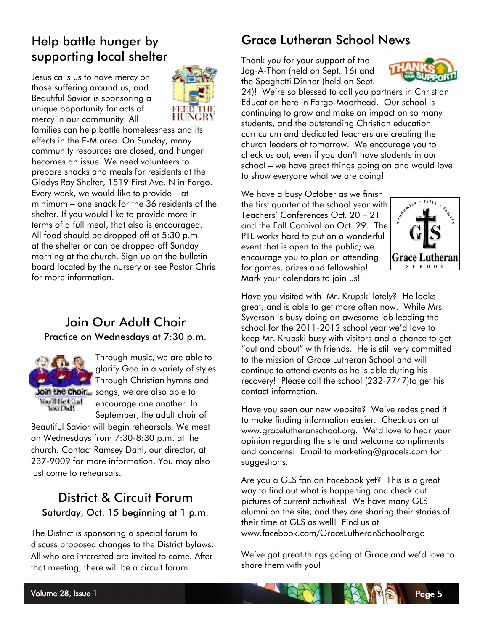### Help battle hunger by supporting local shelter

Jesus calls us to have mercy on those suffering around us, and Beautiful Savior is sponsoring a unique opportunity for acts of mercy in our community. All



families can help battle homelessness and its effects in the F-M area. On Sunday, many community resources are closed, and hunger becomes an issue. We need volunteers to prepare snacks and meals for residents at the Gladys Ray Shelter, 1519 First Ave. N in Fargo. Every week, we would like to provide – at minimum – one snack for the 36 residents of the shelter. If you would like to provide more in terms of a full meal, that also is encouraged. All food should be dropped off at 5:30 p.m. at the shelter or can be dropped off Sunday morning at the church. Sign up on the bulletin board located by the nursery or see Pastor Chris for more information.

#### Join Our Adult Choir Practice on Wednesdays at 7:30 p.m.



Through music, we are able to glorify God in a variety of styles. Through Christian hymns and Join the Choir... songs, we are also able to encourage one another. In September, the adult choir of

Beautiful Savior will begin rehearsals. We meet on Wednesdays from 7:30-8:30 p.m. at the church. Contact Ramsey Dahl, our director, at 237-9009 for more information. You may also just come to rehearsals.

#### District & Circuit Forum Saturday, Oct. 15 beginning at 1 p.m.

The District is sponsoring a special forum to discuss proposed changes to the District bylaws. All who are interested are invited to come. After that meeting, there will be a circuit forum.

### Grace Lutheran School News

Thank you for your support of the Jog-A-Thon (held on Sept. 16) and the Spaghetti Dinner (held on Sept.



24)! We're so blessed to call you partners in Christian Education here in Fargo-Moorhead. Our school is continuing to grow and make an impact on so many students, and the outstanding Christian education curriculum and dedicated teachers are creating the church leaders of tomorrow. We encourage you to check us out, even if you don't have students in our school – we have great things going on and would love to show everyone what we are doing!

We have a busy October as we finish the first quarter of the school year with Teachers' Conferences Oct. 20 – 21 and the Fall Carnival on Oct. 29. The PTL works hard to put on a wonderful event that is open to the public; we encourage you to plan on attending for games, prizes and fellowship! Mark your calendars to join us!



Have you visited with Mr. Krupski lately? He looks great, and is able to get more often now. While Mrs. Syverson is busy doing an awesome job leading the school for the 2011-2012 school year we'd love to keep Mr. Krupski busy with visitors and a chance to get "out and about" with friends. He is still very committed to the mission of Grace Lutheran School and will continue to attend events as he is able during his recovery! Please call the school (232-7747)to get his contact information.

Have you seen our new website? We've redesigned it to make finding information easier. Check us on at [www.gracelutheranschool.org.](http://www.gracelutheranschool.org) We'd love to hear your opinion regarding the site and welcome compliments and concerns! Email to [marketing@gracels.com](mailto:marketing@gracels.com) for suggestions.

Are you a GLS fan on Facebook yet? This is a great way to find out what is happening and check out pictures of current activities! We have many GLS alumni on the site, and they are sharing their stories of their time at GLS as well! Find us at [www.facebook.com/GraceLutheranSchoolFargo](http://www.facebook.com/GraceLutheranSchoolFargo)

We've got great things going at Grace and we'd love to share them with you!

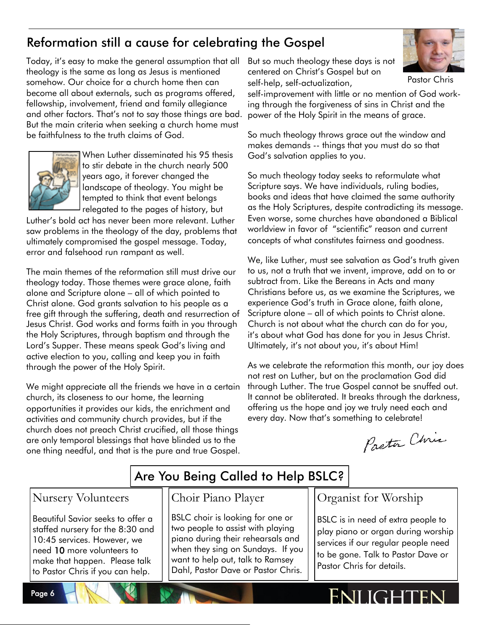### Reformation still a cause for celebrating the Gospel

Today, it's easy to make the general assumption that all theology is the same as long as Jesus is mentioned somehow. Our choice for a church home then can become all about externals, such as programs offered, fellowship, involvement, friend and family allegiance and other factors. That's not to say those things are bad. But the main criteria when seeking a church home must be faithfulness to the truth claims of God.



When Luther disseminated his 95 thesis to stir debate in the church nearly 500 years ago, it forever changed the landscape of theology. You might be tempted to think that event belongs relegated to the pages of history, but

Luther's bold act has never been more relevant. Luther saw problems in the theology of the day, problems that ultimately compromised the gospel message. Today, error and falsehood run rampant as well.

The main themes of the reformation still must drive our theology today. Those themes were grace alone, faith alone and Scripture alone – all of which pointed to Christ alone. God grants salvation to his people as a free gift through the suffering, death and resurrection of Jesus Christ. God works and forms faith in you through the Holy Scriptures, through baptism and through the Lord's Supper. These means speak God's living and active election to you, calling and keep you in faith through the power of the Holy Spirit.

We might appreciate all the friends we have in a certain church, its closeness to our home, the learning opportunities it provides our kids, the enrichment and activities and community church provides, but if the church does not preach Christ crucified, all those things are only temporal blessings that have blinded us to the one thing needful, and that is the pure and true Gospel.

But so much theology these days is not centered on Christ's Gospel but on self-help, self-actualization,



Pastor Chris

self-improvement with little or no mention of God working through the forgiveness of sins in Christ and the power of the Holy Spirit in the means of grace.

So much theology throws grace out the window and makes demands -- things that you must do so that God's salvation applies to you.

So much theology today seeks to reformulate what Scripture says. We have individuals, ruling bodies, books and ideas that have claimed the same authority as the Holy Scriptures, despite contradicting its message. Even worse, some churches have abandoned a Biblical worldview in favor of "scientific" reason and current concepts of what constitutes fairness and goodness.

We, like Luther, must see salvation as God's truth given to us, not a truth that we invent, improve, add on to or subtract from. Like the Bereans in Acts and many Christians before us, as we examine the Scriptures, we experience God's truth in Grace alone, faith alone, Scripture alone – all of which points to Christ alone. Church is not about what the church can do for you, it's about what God has done for you in Jesus Christ. Ultimately, it's not about you, it's about Him!

As we celebrate the reformation this month, our joy does not rest on Luther, but on the proclamation God did through Luther. The true Gospel cannot be snuffed out. It cannot be obliterated. It breaks through the darkness, offering us the hope and joy we truly need each and every day. Now that's something to celebrate!

Pactor Chris

### Are You Being Called to Help BSLC?

#### Nursery Volunteers

Page 6

Beautiful Savior seeks to offer a staffed nursery for the 8:30 and 10:45 services. However, we need 10 more volunteers to make that happen. Please talk to Pastor Chris if you can help.

#### Choir Piano Player

BSLC choir is looking for one or two people to assist with playing piano during their rehearsals and when they sing on Sundays. If you want to help out, talk to Ramsey Dahl, Pastor Dave or Pastor Chris.

Organist for Worship

BSLC is in need of extra people to play piano or organ during worship services if our regular people need to be gone. Talk to Pastor Dave or Pastor Chris for details.

# ENI IGHTEN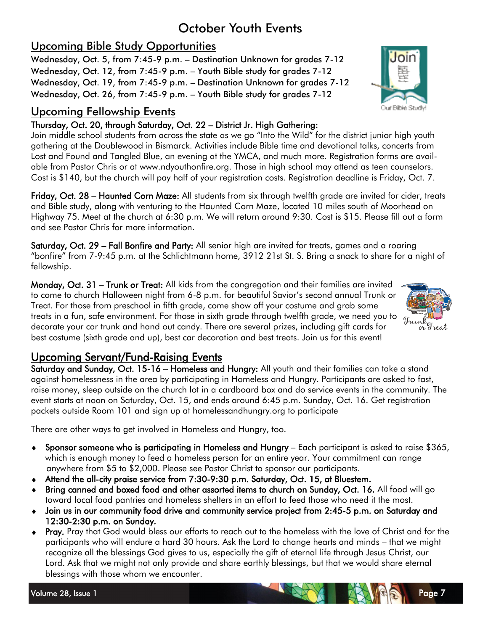### October Youth Events

#### Upcoming Bible Study Opportunities

Wednesday, Oct. 5, from 7:45-9 p.m. – Destination Unknown for grades 7-12 Wednesday, Oct. 12, from 7:45-9 p.m. – Youth Bible study for grades 7-12 Wednesday, Oct. 19, from 7:45-9 p.m. – Destination Unknown for grades 7-12 Wednesday, Oct. 26, from 7:45-9 p.m. – Youth Bible study for grades 7-12

#### Upcoming Fellowship Events

#### Thursday, Oct. 20, through Saturday, Oct. 22 – District Jr. High Gathering:

Join middle school students from across the state as we go "Into the Wild" for the district junior high youth gathering at the Doublewood in Bismarck. Activities include Bible time and devotional talks, concerts from Lost and Found and Tangled Blue, an evening at the YMCA, and much more. Registration forms are available from Pastor Chris or at www.ndyouthonfire.org. Those in high school may attend as teen counselors. Cost is \$140, but the church will pay half of your registration costs. Registration deadline is Friday, Oct. 7.

Friday, Oct. 28 – Haunted Corn Maze: All students from six through twelfth grade are invited for cider, treats and Bible study, along with venturing to the Haunted Corn Maze, located 10 miles south of Moorhead on Highway 75. Meet at the church at 6:30 p.m. We will return around 9:30. Cost is \$15. Please fill out a form and see Pastor Chris for more information.

Saturday, Oct. 29 – Fall Bonfire and Party: All senior high are invited for treats, games and a roaring ―bonfire‖ from 7-9:45 p.m. at the Schlichtmann home, 3912 21st St. S. Bring a snack to share for a night of fellowship.

Monday, Oct. 31 – Trunk or Treat: All kids from the congregation and their families are invited to come to church Halloween night from 6-8 p.m. for beautiful Savior's second annual Trunk or Treat. For those from preschool in fifth grade, come show off your costume and grab some treats in a fun, safe environment. For those in sixth grade through twelfth grade, we need you to decorate your car trunk and hand out candy. There are several prizes, including gift cards for best costume (sixth grade and up), best car decoration and best treats. Join us for this event!



Saturday and Sunday, Oct. 15-16 – Homeless and Hungry: All youth and their families can take a stand against homelessness in the area by participating in Homeless and Hungry. Participants are asked to fast, raise money, sleep outside on the church lot in a cardboard box and do service events in the community. The event starts at noon on Saturday, Oct. 15, and ends around 6:45 p.m. Sunday, Oct. 16. Get registration packets outside Room 101 and sign up at homelessandhungry.org to participate

There are other ways to get involved in Homeless and Hungry, too.

- Sponsor someone who is participating in Homeless and Hungry Each participant is asked to raise \$365, which is enough money to feed a homeless person for an entire year. Your commitment can range anywhere from \$5 to \$2,000. Please see Pastor Christ to sponsor our participants.
- Attend the all-city praise service from 7:30-9:30 p.m. Saturday, Oct. 15, at Bluestem.
- Bring canned and boxed food and other assorted items to church on Sunday, Oct. 16. All food will go toward local food pantries and homeless shelters in an effort to feed those who need it the most.
- Join us in our community food drive and community service project from 2:45-5 p.m. on Saturday and 12:30-2:30 p.m. on Sunday.
- ◆ Pray. Pray that God would bless our efforts to reach out to the homeless with the love of Christ and for the participants who will endure a hard 30 hours. Ask the Lord to change hearts and minds – that we might recognize all the blessings God gives to us, especially the gift of eternal life through Jesus Christ, our Lord. Ask that we might not only provide and share earthly blessings, but that we would share eternal blessings with those whom we encounter.